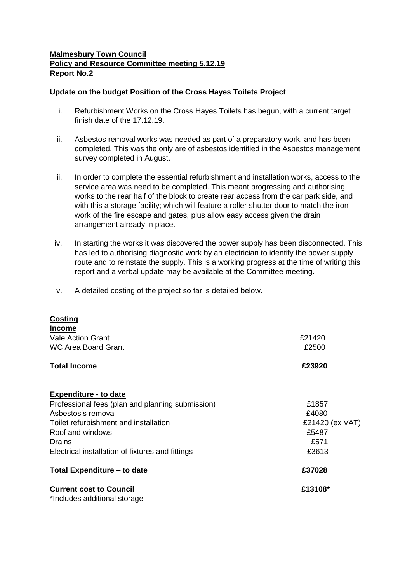## **Malmesbury Town Council Policy and Resource Committee meeting 5.12.19 Report No.2**

## **Update on the budget Position of the Cross Hayes Toilets Project**

- i. Refurbishment Works on the Cross Hayes Toilets has begun, with a current target finish date of the 17.12.19.
- ii. Asbestos removal works was needed as part of a preparatory work, and has been completed. This was the only are of asbestos identified in the Asbestos management survey completed in August.
- iii. In order to complete the essential refurbishment and installation works, access to the service area was need to be completed. This meant progressing and authorising works to the rear half of the block to create rear access from the car park side, and with this a storage facility; which will feature a roller shutter door to match the iron work of the fire escape and gates, plus allow easy access given the drain arrangement already in place.
- iv. In starting the works it was discovered the power supply has been disconnected. This has led to authorising diagnostic work by an electrician to identify the power supply route and to reinstate the supply. This is a working progress at the time of writing this report and a verbal update may be available at the Committee meeting.
- v. A detailed costing of the project so far is detailed below.

| Costing<br><b>Income</b>                                       |                 |
|----------------------------------------------------------------|-----------------|
| <b>Vale Action Grant</b>                                       | £21420          |
| <b>WC Area Board Grant</b>                                     | £2500           |
| <b>Total Income</b>                                            | £23920          |
| <b>Expenditure - to date</b>                                   |                 |
| Professional fees (plan and planning submission)               | £1857           |
| Asbestos's removal                                             | £4080           |
| Toilet refurbishment and installation                          | £21420 (ex VAT) |
| Roof and windows                                               | £5487           |
| Drains                                                         | £571            |
| Electrical installation of fixtures and fittings               | £3613           |
| Total Expenditure – to date                                    | £37028          |
| <b>Current cost to Council</b><br>*Includes additional storage | £13108*         |